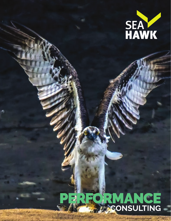

## FORMANCE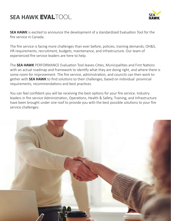#### **SEA HAWK EVALTOOL**



**SEA HAWK** is excited to announce the development of a standardized Evaluation Tool for the fire service in Canada.

The fire service is facing more challenges than ever before, policies, training demands, OH&S, HR requirements, recruitment, budgets, maintenance, and infrastructure. Our team of experienced fire service leaders are here to help.

The **SEA HAWK** PERFORMANCE Evaluation Tool leaves Cities, Municipalities and First Nations with an actual roadmap and framework to identify what they are doing right, and where there is some room for improvement. The fire service, administration, and councils can then work together with **SEA HAWK** to find solutions to their challenges, based on individual provincial requirements, recommendations and best practices.

You can feel confident you will be receiving the best options for your fire service. Industry leaders in fire service Administration, Operations, Health & Safety, Training, and Infrastructure have been brought under one roof to provide you with the best possible solutions to your fire service challenges.

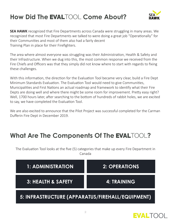## How Did The EVALTOOL Come About?



**SEA HAWK** recognized that Fire Departments across Canada were struggling in many areas. We recognized that most Fire Departments we talked to were doing a great job "Operationally" for their Communities and most of them also had a fairly decent Training Plan in place for their Firefighters.

The area where almost everyone was struggling was their Administration, Health & Safety and their Infrastructure. When we dug into this, the most common response we received from the Fire Chiefs and Officers was that they simply did not know where to start with regards to fixing these challenges.

With this information, the direction for the Evaluation Tool became very clear, build a Fire Dept Minimum Standards Evaluation. The Evaluation Tool would need to give Communities, Municipalities and First Nations an actual roadmap and framework to identify what their Fire Depts are doing well and where there might be some room for improvement. Pretty easy right? Well, 1700 hours later, after searching to the bottom of hundreds of rabbit holes, we are excited to say, we have completed the Evaluation Tool.

We are also excited to announce that the Pilot Project was successful completed for the Carman Dufferin Fire Dept in December 2019.

#### **What Are The Components Of The EVALTOOL?**

The Evaluation Tool looks at the five (5) categories that make up every Fire Department in Canada

| 1: ADMINISTRATION                                | <b>2: OPERATIONS</b> |
|--------------------------------------------------|----------------------|
| 3: HEALTH & SAFETY.                              | <b>4: TRAINING</b>   |
| 5: INFRASTRUCTURE (APPARATUS/FIREHALL/EQUIPMENT) |                      |

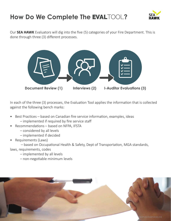### **How Do We Complete The EVALTOOL?**



Our **SEA HAWK** Evaluators will dig into the five (5) categories of your Fire Department. This is done through three (3) different processes.



In each of the three (3) processes, the Evaluation Tool applies the information that is collected against the following bench marks:

- Best Practices based on Canadian fire service information, examples, ideas
	- implemented if required by fire service staff
- Recommendations based on NFPA, IFSTA
	- considered by all levels
	- implemented if decided
- Requirements (Laws)

 – based on Occupational Health & Safety, Dept of Transportation, MGA standards, laws, requirements, codes

- implemented by all levels
- non-negotiable minimum levels

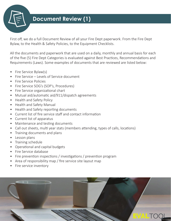

#### **Document Review (1)**

First off, we do a full Document Review of all your Fire Dept paperwork. From the Fire Dept Bylaw, to the Health & Safety Policies, to the Equipment Checklists.

All the documents and paperwork that are used on a daily, monthly and annual basis for each of the five (5) Fire Dept Categories is evaluated against Best Practices, Recommendations and Requirements (Laws). Some examples of documents that are reviewed are listed below:

- Fire Service Bylaw(s)
- Fire Service Levels of Service document
- Fire Service Policies
- Fire Service SOG's (SOP's, Procedures)
- Fire Service organizational chart
- Mutual aid/automatic aid/911/dispatch agreements
- Health and Safety Policy
- Health and Safety Manual
- Health and Safety reporting documents
- Current list of fire service staff and contact information
- Current list of apparatus
- Maintenance and testing documents
- Call out sheets, multi year stats (members attending, types of calls, locations)
- Training documents and plans
- Lesson plans
- Training schedule
- Operational and capital budgets
- Fire Service database
- Fire prevention inspections / investigations / prevention program
- Area of responsibility map / fire service site layout map
- Fire service inventory

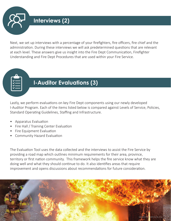**Interviews (2)**

Next, we set up interviews with a percentage of your firefighters, fire officers, fire chief and the administration. During these interviews we will ask predetermined questions that are relevant at each level. These answers give us insight into the Fire Dept Communication, Firefighter Understanding and Fire Dept Procedures that are used within your Fire Service.

#### **I-Auditor Evaluations (3)**

Lastly, we perform evaluations on key Fire Dept components using our newly developed I-Auditor Program. Each of the items listed below is compared against Levels of Service, Policies, Standard Operating Guidelines, Staffing and Infrastructure.

- Apparatus Evaluation
- Fire Hall / Training Center Evaluation
- Fire Equipment Evaluation
- Community Hazard Evaluation

The Evaluation Tool uses the data collected and the interviews to assist the Fire Service by providing a road map which outlines minimum requirements for their area, province, territory or first nation community. This framework helps the fire service know what they are doing well and what they should continue to do. It also identifies areas that require improvement and opens discussions about recommendations for future consideration.

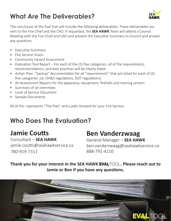## **What Are The Deliverables?**



The conclusion of the Eval Tool will include the following deliverables. These deliverables are sent to the Fire Chief and the CAO. If requested, the **SEA HAWK** Team will attend a Council Meeting with the Fire Chief and CAO and present the Executive Summary to Council and answer any questions.

- Executive Summary
- Fire Service Vision
- Community Hazard Assessment
- Evaluation Tool Report For each of the (5) five categories, all of the requirements, recommendations, and best practices will be clearly listed.
- Action Plan-"backup" documentation for all "requirements" that are listed for each of (5) five categories. (ie, OH&S regulations, DOT regulations)
- All Assessment Reports for the apparatus, equipment, firehalls and training centers
- Summary of all interviews
- Level of Service Document
- Sample Documents

All of this represents "The Plan" and a path forward for your Fire Service.

### **Who Does The Evaluation?**

### **Jamie Coutts**

#### **Ben Vanderzwaag**

Consultant – **SEA HAWK** jamie.coutts@seahawkservice.ca 780-919-7311

General Manager – **SEA HAWK** ben.vanderzwaag@seahawkservice.ca 888-791-4210

#### Thank you for your interest in the SEA HAWK EVALTOOL. Please reach out to **Jamie or Ben if you have any questions.**